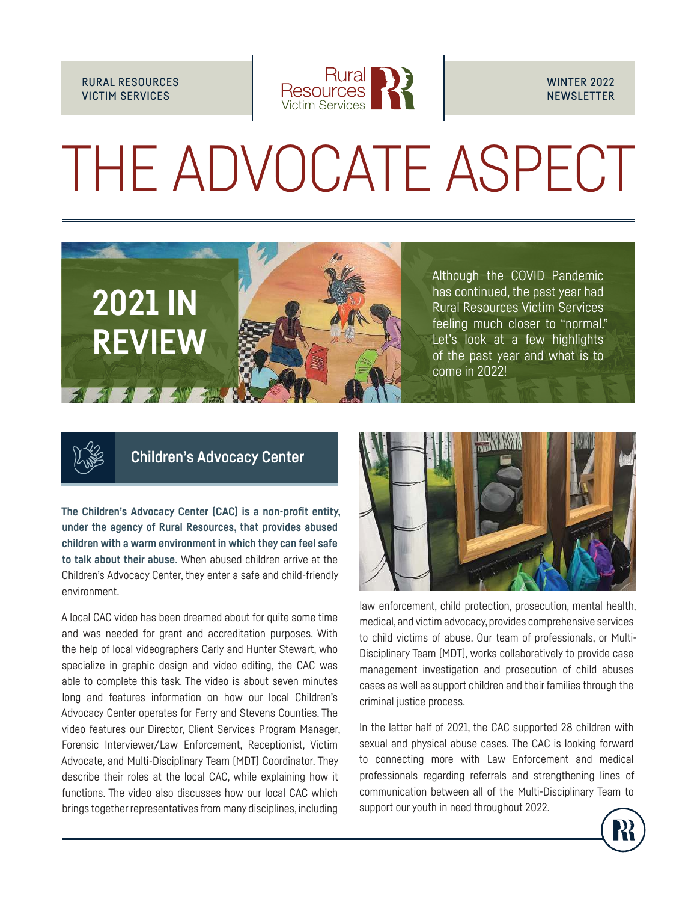### RURAL RESOURCES VICTIM SERVICES



# THE ADVOCATE ASPECT





## **Children's Advocacy Center**

**The Children's Advocacy Center (CAC) is a non-profit entity, under the agency of Rural Resources, that provides abused children with a warm environment in which they can feel safe to talk about their abuse.** When abused children arrive at the Children's Advocacy Center, they enter a safe and child-friendly environment.

A local CAC video has been dreamed about for quite some time and was needed for grant and accreditation purposes. With the help of local videographers Carly and Hunter Stewart, who specialize in graphic design and video editing, the CAC was able to complete this task. The video is about seven minutes long and features information on how our local Children's Advocacy Center operates for Ferry and Stevens Counties. The video features our Director, Client Services Program Manager, Forensic Interviewer/Law Enforcement, Receptionist, Victim Advocate, and Multi-Disciplinary Team (MDT) Coordinator. They describe their roles at the local CAC, while explaining how it functions. The video also discusses how our local CAC which brings together representatives from many disciplines, including



law enforcement, child protection, prosecution, mental health, medical, and victim advocacy, provides comprehensive services to child victims of abuse. Our team of professionals, or Multi-Disciplinary Team (MDT), works collaboratively to provide case management investigation and prosecution of child abuses cases as well as support children and their families through the criminal justice process.

In the latter half of 2021, the CAC supported 28 children with sexual and physical abuse cases. The CAC is looking forward to connecting more with Law Enforcement and medical professionals regarding referrals and strengthening lines of communication between all of the Multi-Disciplinary Team to support our youth in need throughout 2022.

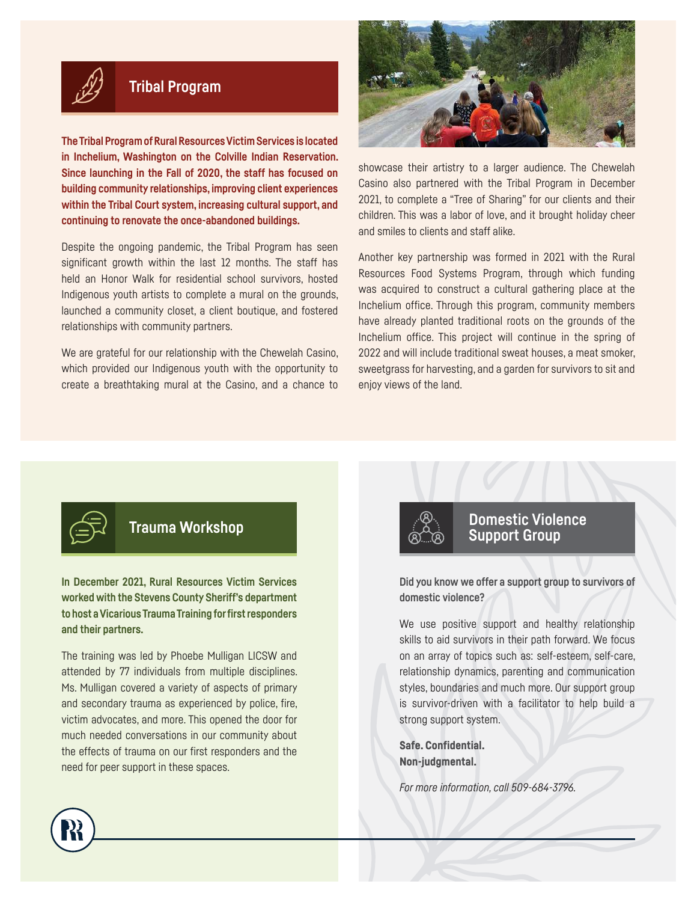

## **Tribal Program**

**The Tribal Program of Rural Resources Victim Services is located in Inchelium, Washington on the Colville Indian Reservation. Since launching in the Fall of 2020, the staff has focused on building community relationships, improving client experiences within the Tribal Court system, increasing cultural support, and continuing to renovate the once-abandoned buildings.**

Despite the ongoing pandemic, the Tribal Program has seen significant growth within the last 12 months. The staff has held an Honor Walk for residential school survivors, hosted Indigenous youth artists to complete a mural on the grounds, launched a community closet, a client boutique, and fostered relationships with community partners.

We are grateful for our relationship with the Chewelah Casino, which provided our Indigenous youth with the opportunity to create a breathtaking mural at the Casino, and a chance to



showcase their artistry to a larger audience. The Chewelah Casino also partnered with the Tribal Program in December 2021, to complete a "Tree of Sharing" for our clients and their children. This was a labor of love, and it brought holiday cheer and smiles to clients and staff alike.

Another key partnership was formed in 2021 with the Rural Resources Food Systems Program, through which funding was acquired to construct a cultural gathering place at the Inchelium office. Through this program, community members have already planted traditional roots on the grounds of the Inchelium office. This project will continue in the spring of 2022 and will include traditional sweat houses, a meat smoker, sweetgrass for harvesting, and a garden for survivors to sit and enjoy views of the land.



**In December 2021, Rural Resources Victim Services worked with the Stevens County Sheriff's department to host a Vicarious Trauma Training for first responders and their partners.** 

The training was led by Phoebe Mulligan LICSW and attended by 77 individuals from multiple disciplines. Ms. Mulligan covered a variety of aspects of primary and secondary trauma as experienced by police, fire, victim advocates, and more. This opened the door for much needed conversations in our community about the effects of trauma on our first responders and the need for peer support in these spaces.



## **Trauma Workshop Domestic Violence Support Group**

**Did you know we offer a support group to survivors of domestic violence?**

We use positive support and healthy relationship skills to aid survivors in their path forward. We focus on an array of topics such as: self-esteem, self-care, relationship dynamics, parenting and communication styles, boundaries and much more. Our support group is survivor-driven with a facilitator to help build a strong support system.

Safe. Confidential. Non-judgmental.

*For more information, call 509-684-3796.*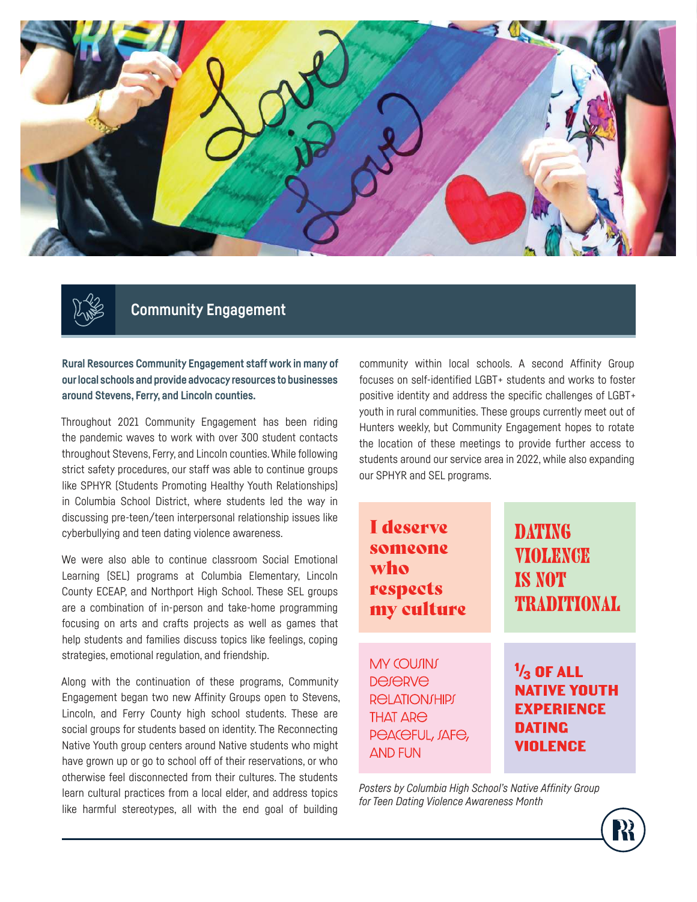



# **Community Engagement**

**Rural Resources Community Engagement staff work in many of our local schools and provide advocacy resources to businesses around Stevens, Ferry, and Lincoln counties.**

Throughout 2021 Community Engagement has been riding the pandemic waves to work with over 300 student contacts throughout Stevens, Ferry, and Lincoln counties. While following strict safety procedures, our staff was able to continue groups like SPHYR (Students Promoting Healthy Youth Relationships) in Columbia School District, where students led the way in discussing pre-teen/teen interpersonal relationship issues like cyberbullying and teen dating violence awareness.

We were also able to continue classroom Social Emotional Learning (SEL) programs at Columbia Elementary, Lincoln County ECEAP, and Northport High School. These SEL groups are a combination of in-person and take-home programming focusing on arts and crafts projects as well as games that help students and families discuss topics like feelings, coping strategies, emotional regulation, and friendship.

Along with the continuation of these programs, Community Engagement began two new Affinity Groups open to Stevens, Lincoln, and Ferry County high school students. These are social groups for students based on identity. The Reconnecting Native Youth group centers around Native students who might have grown up or go to school off of their reservations, or who otherwise feel disconnected from their cultures. The students learn cultural practices from a local elder, and address topics like harmful stereotypes, all with the end goal of building

community within local schools. A second Affinity Group focuses on self-identified LGBT+ students and works to foster positive identity and address the specific challenges of LGBT+ youth in rural communities. These groups currently meet out of Hunters weekly, but Community Engagement hopes to rotate the location of these meetings to provide further access to students around our service area in 2022, while also expanding our SPHYR and SEL programs.

I deserve **DATING** someone **VIOLENGE** who **IS NOT** respects **TRADITIONAL** my culture **MY COUJINJ**  $\frac{1}{3}$  OF ALL **DeJERVE NATIVE YOUTH RELATION/HIPJ EXPERIENCE THAT ARE DATING** PEACEFUL, JAFE, **VIOLENCE AND FUN** 

*Posters by Columbia High School's Native Affinity Group for Teen Dating Violence Awareness Month*